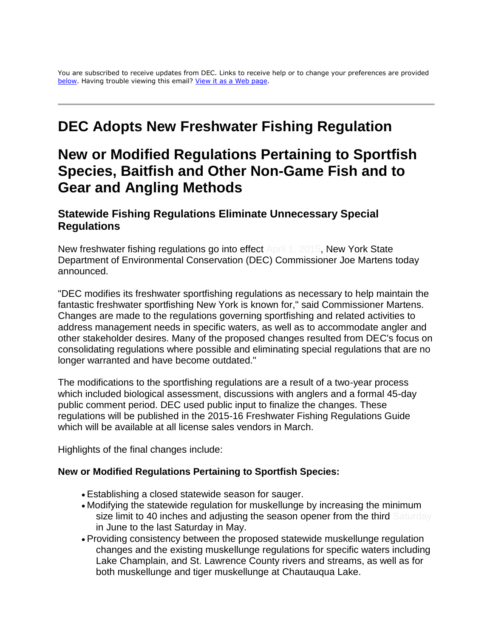You are subscribed to receive updates from DEC. Links to receive help or to change your preferences are provided [below.](https://mail.google.com/mail/u/0/#14c1357428e81ee7_footer) Having trouble viewing this email? [View it as a Web page.](http://links.govdelivery.com/track?type=click&enid=ZWFzPTEmbWFpbGluZ2lkPTIwMTUwMzEzLjQyODQyMTkxJm1lc3NhZ2VpZD1NREItUFJELUJVTC0yMDE1MDMxMy40Mjg0MjE5MSZkYXRhYmFzZWlkPTEwMDEmc2VyaWFsPTE3MDg5MjIxJmVtYWlsaWQ9am5pbm9zQGdtYWlsLmNvbSZ1c2VyaWQ9am5pbm9zQGdtYWlsLmNvbSZmbD0mZXh0cmE9TXVsdGl2YXJpYXRlSWQ9JiYm&&&100&&&http://content.govdelivery.com/accounts/NYSDEC/bulletins/f77fe6)

# **DEC Adopts New Freshwater Fishing Regulation**

# **New or Modified Regulations Pertaining to Sportfish Species, Baitfish and Other Non-Game Fish and to Gear and Angling Methods**

## **Statewide Fishing Regulations Eliminate Unnecessary Special Regulations**

New freshwater fishing regulations go into effect April 1, 2015, New York State Department of Environmental Conservation (DEC) Commissioner Joe Martens today announced.

"DEC modifies its freshwater sportfishing regulations as necessary to help maintain the fantastic freshwater sportfishing New York is known for," said Commissioner Martens. Changes are made to the regulations governing sportfishing and related activities to address management needs in specific waters, as well as to accommodate angler and other stakeholder desires. Many of the proposed changes resulted from DEC's focus on consolidating regulations where possible and eliminating special regulations that are no longer warranted and have become outdated."

The modifications to the sportfishing regulations are a result of a two-year process which included biological assessment, discussions with anglers and a formal 45-day public comment period. DEC used public input to finalize the changes. These regulations will be published in the 2015-16 Freshwater Fishing Regulations Guide which will be available at all license sales vendors in March.

Highlights of the final changes include:

#### **New or Modified Regulations Pertaining to Sportfish Species:**

- Establishing a closed statewide season for sauger.
- Modifying the statewide regulation for muskellunge by increasing the minimum size limit to 40 inches and adjusting the season opener from the third Saturday in June to the last Saturday in May.
- Providing consistency between the proposed statewide muskellunge regulation changes and the existing muskellunge regulations for specific waters including Lake Champlain, and St. Lawrence County rivers and streams, as well as for both muskellunge and tiger muskellunge at Chautauqua Lake.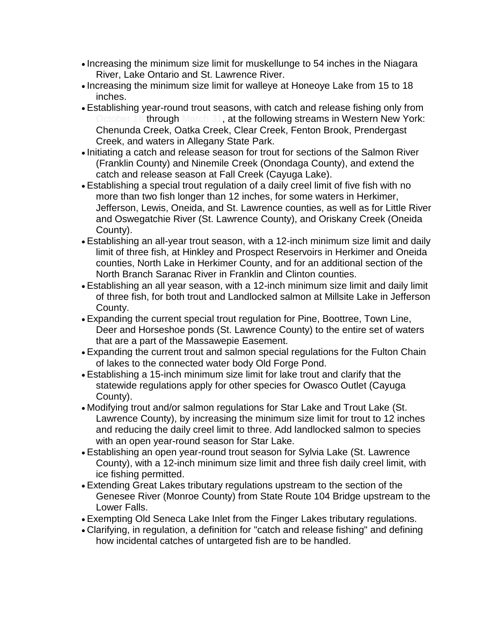- Increasing the minimum size limit for muskellunge to 54 inches in the Niagara River, Lake Ontario and St. Lawrence River.
- Increasing the minimum size limit for walleye at Honeoye Lake from 15 to 18 inches.
- Establishing year-round trout seasons, with catch and release fishing only from Detober 16 through March 31, at the following streams in Western New York: Chenunda Creek, Oatka Creek, Clear Creek, Fenton Brook, Prendergast Creek, and waters in Allegany State Park.
- Initiating a catch and release season for trout for sections of the Salmon River (Franklin County) and Ninemile Creek (Onondaga County), and extend the catch and release season at Fall Creek (Cayuga Lake).
- Establishing a special trout regulation of a daily creel limit of five fish with no more than two fish longer than 12 inches, for some waters in Herkimer, Jefferson, Lewis, Oneida, and St. Lawrence counties, as well as for Little River and Oswegatchie River (St. Lawrence County), and Oriskany Creek (Oneida County).
- Establishing an all-year trout season, with a 12-inch minimum size limit and daily limit of three fish, at Hinkley and Prospect Reservoirs in Herkimer and Oneida counties, North Lake in Herkimer County, and for an additional section of the North Branch Saranac River in Franklin and Clinton counties.
- Establishing an all year season, with a 12-inch minimum size limit and daily limit of three fish, for both trout and Landlocked salmon at Millsite Lake in Jefferson County.
- Expanding the current special trout regulation for Pine, Boottree, Town Line, Deer and Horseshoe ponds (St. Lawrence County) to the entire set of waters that are a part of the Massawepie Easement.
- Expanding the current trout and salmon special regulations for the Fulton Chain of lakes to the connected water body Old Forge Pond.
- Establishing a 15-inch minimum size limit for lake trout and clarify that the statewide regulations apply for other species for Owasco Outlet (Cayuga County).
- Modifying trout and/or salmon regulations for Star Lake and Trout Lake (St. Lawrence County), by increasing the minimum size limit for trout to 12 inches and reducing the daily creel limit to three. Add landlocked salmon to species with an open year-round season for Star Lake.
- Establishing an open year-round trout season for Sylvia Lake (St. Lawrence County), with a 12-inch minimum size limit and three fish daily creel limit, with ice fishing permitted.
- Extending Great Lakes tributary regulations upstream to the section of the Genesee River (Monroe County) from State Route 104 Bridge upstream to the Lower Falls.
- Exempting Old Seneca Lake Inlet from the Finger Lakes tributary regulations.
- Clarifying, in regulation, a definition for "catch and release fishing" and defining how incidental catches of untargeted fish are to be handled.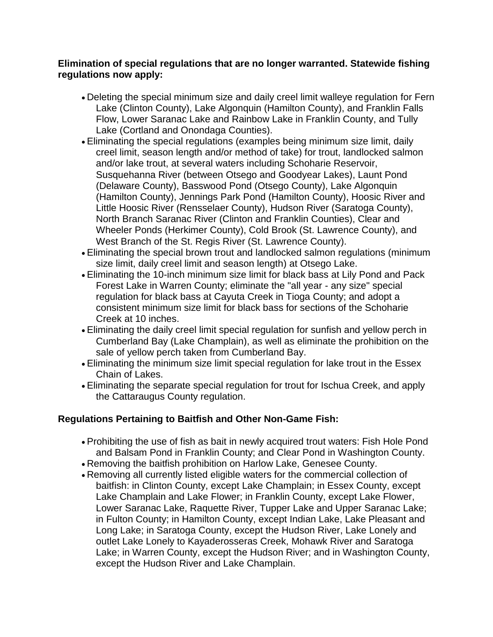#### **Elimination of special regulations that are no longer warranted. Statewide fishing regulations now apply:**

- Deleting the special minimum size and daily creel limit walleye regulation for Fern Lake (Clinton County), Lake Algonquin (Hamilton County), and Franklin Falls Flow, Lower Saranac Lake and Rainbow Lake in Franklin County, and Tully Lake (Cortland and Onondaga Counties).
- Eliminating the special regulations (examples being minimum size limit, daily creel limit, season length and/or method of take) for trout, landlocked salmon and/or lake trout, at several waters including Schoharie Reservoir, Susquehanna River (between Otsego and Goodyear Lakes), Launt Pond (Delaware County), Basswood Pond (Otsego County), Lake Algonquin (Hamilton County), Jennings Park Pond (Hamilton County), Hoosic River and Little Hoosic River (Rensselaer County), Hudson River (Saratoga County), North Branch Saranac River (Clinton and Franklin Counties), Clear and Wheeler Ponds (Herkimer County), Cold Brook (St. Lawrence County), and West Branch of the St. Regis River (St. Lawrence County).
- Eliminating the special brown trout and landlocked salmon regulations (minimum size limit, daily creel limit and season length) at Otsego Lake.
- Eliminating the 10-inch minimum size limit for black bass at Lily Pond and Pack Forest Lake in Warren County; eliminate the "all year - any size" special regulation for black bass at Cayuta Creek in Tioga County; and adopt a consistent minimum size limit for black bass for sections of the Schoharie Creek at 10 inches.
- Eliminating the daily creel limit special regulation for sunfish and yellow perch in Cumberland Bay (Lake Champlain), as well as eliminate the prohibition on the sale of yellow perch taken from Cumberland Bay.
- Eliminating the minimum size limit special regulation for lake trout in the Essex Chain of Lakes.
- Eliminating the separate special regulation for trout for Ischua Creek, and apply the Cattaraugus County regulation.

### **Regulations Pertaining to Baitfish and Other Non-Game Fish:**

- Prohibiting the use of fish as bait in newly acquired trout waters: Fish Hole Pond and Balsam Pond in Franklin County; and Clear Pond in Washington County.
- Removing the baitfish prohibition on Harlow Lake, Genesee County.
- Removing all currently listed eligible waters for the commercial collection of baitfish: in Clinton County, except Lake Champlain; in Essex County, except Lake Champlain and Lake Flower; in Franklin County, except Lake Flower, Lower Saranac Lake, Raquette River, Tupper Lake and Upper Saranac Lake; in Fulton County; in Hamilton County, except Indian Lake, Lake Pleasant and Long Lake; in Saratoga County, except the Hudson River, Lake Lonely and outlet Lake Lonely to Kayaderosseras Creek, Mohawk River and Saratoga Lake; in Warren County, except the Hudson River; and in Washington County, except the Hudson River and Lake Champlain.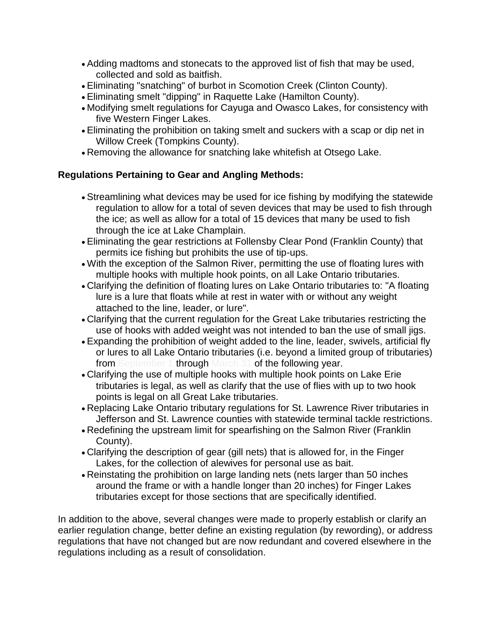- Adding madtoms and stonecats to the approved list of fish that may be used, collected and sold as baitfish.
- Eliminating "snatching" of burbot in Scomotion Creek (Clinton County).
- Eliminating smelt "dipping" in Raquette Lake (Hamilton County).
- Modifying smelt regulations for Cayuga and Owasco Lakes, for consistency with five Western Finger Lakes.
- Eliminating the prohibition on taking smelt and suckers with a scap or dip net in Willow Creek (Tompkins County).
- Removing the allowance for snatching lake whitefish at Otsego Lake.

### **Regulations Pertaining to Gear and Angling Methods:**

- Streamlining what devices may be used for ice fishing by modifying the statewide regulation to allow for a total of seven devices that may be used to fish through the ice; as well as allow for a total of 15 devices that many be used to fish through the ice at Lake Champlain.
- Eliminating the gear restrictions at Follensby Clear Pond (Franklin County) that permits ice fishing but prohibits the use of tip-ups.
- With the exception of the Salmon River, permitting the use of floating lures with multiple hooks with multiple hook points, on all Lake Ontario tributaries.
- Clarifying the definition of floating lures on Lake Ontario tributaries to: "A floating lure is a lure that floats while at rest in water with or without any weight attached to the line, leader, or lure".
- Clarifying that the current regulation for the Great Lake tributaries restricting the use of hooks with added weight was not intended to ban the use of small jigs.
- Expanding the prohibition of weight added to the line, leader, swivels, artificial fly or lures to all Lake Ontario tributaries (i.e. beyond a limited group of tributaries) from September 1 through March 31 of the following year.
- Clarifying the use of multiple hooks with multiple hook points on Lake Erie tributaries is legal, as well as clarify that the use of flies with up to two hook points is legal on all Great Lake tributaries.
- Replacing Lake Ontario tributary regulations for St. Lawrence River tributaries in Jefferson and St. Lawrence counties with statewide terminal tackle restrictions.
- Redefining the upstream limit for spearfishing on the Salmon River (Franklin County).
- Clarifying the description of gear (gill nets) that is allowed for, in the Finger Lakes, for the collection of alewives for personal use as bait.
- Reinstating the prohibition on large landing nets (nets larger than 50 inches around the frame or with a handle longer than 20 inches) for Finger Lakes tributaries except for those sections that are specifically identified.

In addition to the above, several changes were made to properly establish or clarify an earlier regulation change, better define an existing regulation (by rewording), or address regulations that have not changed but are now redundant and covered elsewhere in the regulations including as a result of consolidation.